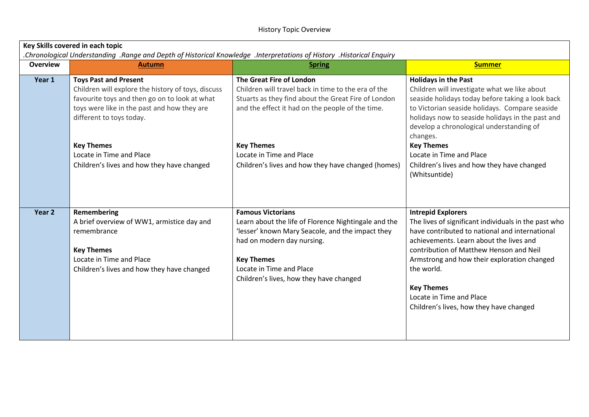| Key Skills covered in each topic<br>Historical Enquiry וHistorical Understanding. Range and Depth of Historical Knowledge. |                                                                                                                                                                                                                |                                                                                                                                                                                                                                                                |                                                                                                                                                                                                                                                                                                                                                                                    |  |  |
|----------------------------------------------------------------------------------------------------------------------------|----------------------------------------------------------------------------------------------------------------------------------------------------------------------------------------------------------------|----------------------------------------------------------------------------------------------------------------------------------------------------------------------------------------------------------------------------------------------------------------|------------------------------------------------------------------------------------------------------------------------------------------------------------------------------------------------------------------------------------------------------------------------------------------------------------------------------------------------------------------------------------|--|--|
| <b>Overview</b>                                                                                                            | <b>Autumn</b>                                                                                                                                                                                                  | <b>Spring</b>                                                                                                                                                                                                                                                  | <b>Summer</b>                                                                                                                                                                                                                                                                                                                                                                      |  |  |
| Year 1                                                                                                                     | <b>Toys Past and Present</b><br>Children will explore the history of toys, discuss<br>favourite toys and then go on to look at what<br>toys were like in the past and how they are<br>different to toys today. | The Great Fire of London<br>Children will travel back in time to the era of the<br>Stuarts as they find about the Great Fire of London<br>and the effect it had on the people of the time.                                                                     | <b>Holidays in the Past</b><br>Children will investigate what we like about<br>seaside holidays today before taking a look back<br>to Victorian seaside holidays. Compare seaside<br>holidays now to seaside holidays in the past and<br>develop a chronological understanding of<br>changes.                                                                                      |  |  |
|                                                                                                                            | <b>Key Themes</b><br>Locate in Time and Place<br>Children's lives and how they have changed                                                                                                                    | <b>Key Themes</b><br>Locate in Time and Place<br>Children's lives and how they have changed (homes)                                                                                                                                                            | <b>Key Themes</b><br>Locate in Time and Place<br>Children's lives and how they have changed<br>(Whitsuntide)                                                                                                                                                                                                                                                                       |  |  |
| Year <sub>2</sub>                                                                                                          | Remembering<br>A brief overview of WW1, armistice day and<br>remembrance<br><b>Key Themes</b><br>Locate in Time and Place<br>Children's lives and how they have changed                                        | <b>Famous Victorians</b><br>Learn about the life of Florence Nightingale and the<br>'lesser' known Mary Seacole, and the impact they<br>had on modern day nursing.<br><b>Key Themes</b><br>Locate in Time and Place<br>Children's lives, how they have changed | <b>Intrepid Explorers</b><br>The lives of significant individuals in the past who<br>have contributed to national and international<br>achievements. Learn about the lives and<br>contribution of Matthew Henson and Neil<br>Armstrong and how their exploration changed<br>the world.<br><b>Key Themes</b><br>Locate in Time and Place<br>Children's lives, how they have changed |  |  |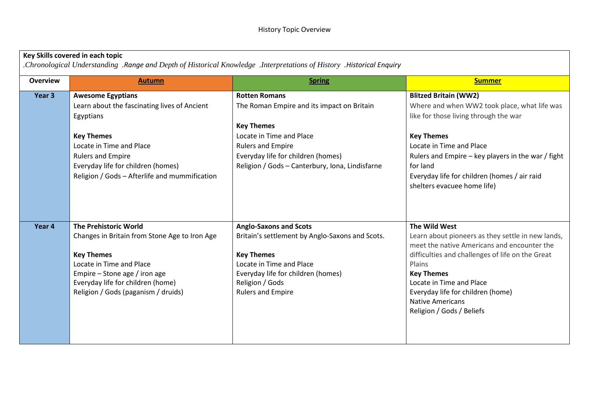## **Key Skills covered in each topic**

*.Chronological Understanding .Range and Depth of Historical Knowledge .Interpretations of History .Historical Enquiry*

| <b>Overview</b> | <b>Autumn</b>                                 | <b>Spring</b>                                   | <b>Summer</b>                                      |
|-----------------|-----------------------------------------------|-------------------------------------------------|----------------------------------------------------|
| Year 3          | <b>Awesome Egyptians</b>                      | <b>Rotten Romans</b>                            | <b>Blitzed Britain (WW2)</b>                       |
|                 | Learn about the fascinating lives of Ancient  | The Roman Empire and its impact on Britain      | Where and when WW2 took place, what life was       |
|                 | Egyptians                                     |                                                 | like for those living through the war              |
|                 |                                               | <b>Key Themes</b>                               |                                                    |
|                 | <b>Key Themes</b>                             | Locate in Time and Place                        | <b>Key Themes</b>                                  |
|                 | Locate in Time and Place                      | <b>Rulers and Empire</b>                        | Locate in Time and Place                           |
|                 | <b>Rulers and Empire</b>                      | Everyday life for children (homes)              | Rulers and Empire - key players in the war / fight |
|                 | Everyday life for children (homes)            | Religion / Gods - Canterbury, Iona, Lindisfarne | for land                                           |
|                 | Religion / Gods - Afterlife and mummification |                                                 | Everyday life for children (homes / air raid       |
|                 |                                               |                                                 | shelters evacuee home life)                        |
|                 |                                               |                                                 |                                                    |
|                 |                                               |                                                 |                                                    |
| Year 4          | <b>The Prehistoric World</b>                  | <b>Anglo-Saxons and Scots</b>                   | The Wild West                                      |
|                 | Changes in Britain from Stone Age to Iron Age | Britain's settlement by Anglo-Saxons and Scots. | Learn about pioneers as they settle in new lands,  |
|                 |                                               |                                                 | meet the native Americans and encounter the        |
|                 | <b>Key Themes</b>                             | <b>Key Themes</b>                               | difficulties and challenges of life on the Great   |
|                 | Locate in Time and Place                      | Locate in Time and Place                        | Plains                                             |
|                 | Empire - Stone age / iron age                 | Everyday life for children (homes)              | <b>Key Themes</b>                                  |
|                 | Everyday life for children (home)             | Religion / Gods                                 | Locate in Time and Place                           |
|                 | Religion / Gods (paganism / druids)           | <b>Rulers and Empire</b>                        | Everyday life for children (home)                  |
|                 |                                               |                                                 | <b>Native Americans</b>                            |
|                 |                                               |                                                 | Religion / Gods / Beliefs                          |
|                 |                                               |                                                 |                                                    |
|                 |                                               |                                                 |                                                    |